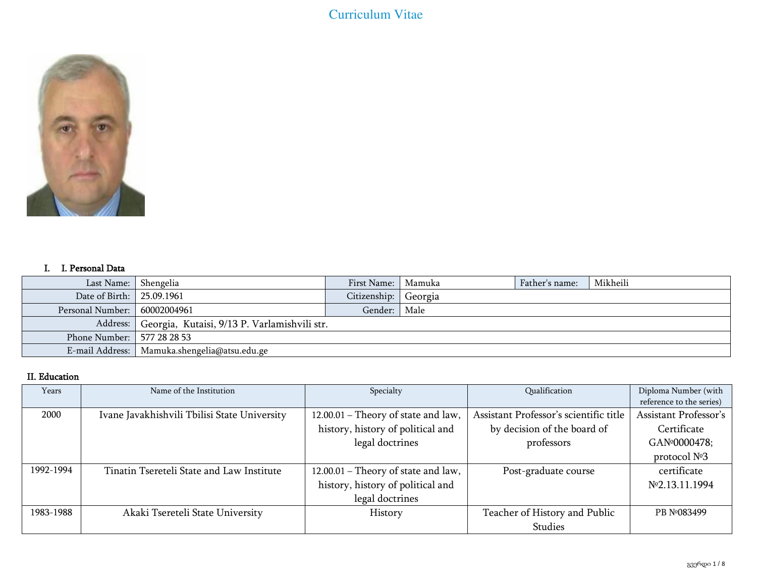

## I. I. Personal Data

| Last Name:   Shengelia         |                                                         | First Name:   Mamuka |  | Father's name: | Mikheili |
|--------------------------------|---------------------------------------------------------|----------------------|--|----------------|----------|
| Date of Birth:   25.09.1961    |                                                         | Citizenship: Georgia |  |                |          |
| Personal Number:   60002004961 |                                                         | Gender:   Male       |  |                |          |
|                                | Address:   Georgia, Kutaisi, 9/13 P. Varlamishvili str. |                      |  |                |          |
| Phone Number:   577 28 28 53   |                                                         |                      |  |                |          |
|                                | E-mail Address:   Mamuka.shengelia@atsu.edu.ge          |                      |  |                |          |

# II. Education

| Years     | Name of the Institution                      | Specialty                           | Qualification                          | Diploma Number (with      |
|-----------|----------------------------------------------|-------------------------------------|----------------------------------------|---------------------------|
|           |                                              |                                     |                                        | reference to the series)  |
| 2000      | Ivane Javakhishvili Tbilisi State University | 12.00.01 - Theory of state and law, | Assistant Professor's scientific title | Assistant Professor's     |
|           |                                              | history, history of political and   | by decision of the board of            | Certificate               |
|           |                                              | legal doctrines                     | professors                             | GAN <sup>o</sup> 0000478; |
|           |                                              |                                     |                                        | protocol $N°3$            |
| 1992-1994 | Tinatin Tsereteli State and Law Institute    | 12.00.01 - Theory of state and law, | Post-graduate course                   | certificate               |
|           |                                              | history, history of political and   |                                        | No 2.13.11.1994           |
|           |                                              | legal doctrines                     |                                        |                           |
| 1983-1988 | Akaki Tsereteli State University             | History                             | Teacher of History and Public          | PB Nº083499               |
|           |                                              |                                     | Studies                                |                           |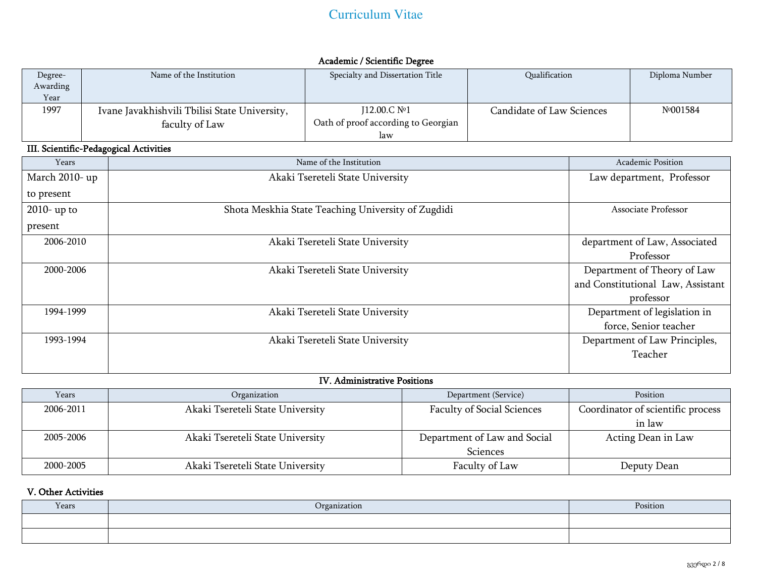| Degree-<br>Awarding<br>Year | Name of the Institution                       | Specialty and Dissertation Title           | Qualification             | Diploma Number |
|-----------------------------|-----------------------------------------------|--------------------------------------------|---------------------------|----------------|
| 1997                        | Ivane Javakhishvili Tbilisi State University, | J12.00.C №1                                | Candidate of Law Sciences | Nº001584       |
|                             | faculty of Law                                | Oath of proof according to Georgian<br>law |                           |                |

# Academic / Scientific Degree

# III. Scientific-Pedagogical Activities

| Years          | Name of the Institution                            | <b>Academic Position</b>          |
|----------------|----------------------------------------------------|-----------------------------------|
| March 2010- up | Akaki Tsereteli State University                   | Law department, Professor         |
| to present     |                                                    |                                   |
| $2010$ - up to | Shota Meskhia State Teaching University of Zugdidi | Associate Professor               |
| present        |                                                    |                                   |
| 2006-2010      | Akaki Tsereteli State University                   | department of Law, Associated     |
|                |                                                    | Professor                         |
| 2000-2006      | Akaki Tsereteli State University                   | Department of Theory of Law       |
|                |                                                    | and Constitutional Law, Assistant |
|                |                                                    | professor                         |
| 1994-1999      | Akaki Tsereteli State University                   | Department of legislation in      |
|                |                                                    | force, Senior teacher             |
| 1993-1994      | Akaki Tsereteli State University                   | Department of Law Principles,     |
|                |                                                    | Teacher                           |
|                |                                                    |                                   |

## IV. Administrative Positions

| Years     | Organization                     | Department (Service)              | Position                          |
|-----------|----------------------------------|-----------------------------------|-----------------------------------|
| 2006-2011 | Akaki Tsereteli State University | <b>Faculty of Social Sciences</b> | Coordinator of scientific process |
|           |                                  |                                   | in law                            |
| 2005-2006 | Akaki Tsereteli State University | Department of Law and Social      | Acting Dean in Law                |
|           |                                  | <b>Sciences</b>                   |                                   |
| 2000-2005 | Akaki Tsereteli State University | Faculty of Law                    | Deputy Dean                       |

# V. Other Activities

| Years | Organization | Position |
|-------|--------------|----------|
|       |              |          |
|       |              |          |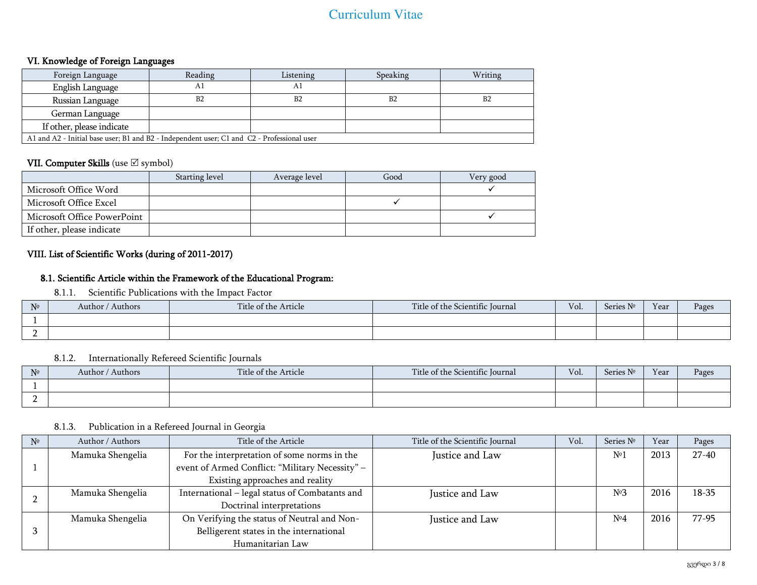## VI. Knowledge of Foreign Languages

| Foreign Language                                                                           | Reading | Listening      | Speaking       | Writing |  |  |
|--------------------------------------------------------------------------------------------|---------|----------------|----------------|---------|--|--|
| English Language                                                                           | Αl      | Αl             |                |         |  |  |
| Russian Language                                                                           | B2      | B <sub>2</sub> | B <sub>2</sub> | B2      |  |  |
| German Language                                                                            |         |                |                |         |  |  |
| If other, please indicate                                                                  |         |                |                |         |  |  |
| A1 and A2 - Initial base user; B1 and B2 - Independent user; C1 and C2 - Professional user |         |                |                |         |  |  |

## VII. Computer Skills (use  $\boxtimes$  symbol)

|                             | Starting level | Average level | Good | Very good |
|-----------------------------|----------------|---------------|------|-----------|
| Microsoft Office Word       |                |               |      |           |
| Microsoft Office Excel      |                |               |      |           |
| Microsoft Office PowerPoint |                |               |      |           |
| If other, please indicate   |                |               |      |           |

# VIII. List of Scientific Works (during of 2011-2017)

## 8.1. Scientific Article within the Framework of the Educational Program:

8.1.1. Scientific Publications with the Impact Factor

| N <sub>2</sub> | Author / Authors | Title of the Article | Title of the Scientific Journal | Vol. | N <sub>0</sub><br>Series | Y ear | Pages |
|----------------|------------------|----------------------|---------------------------------|------|--------------------------|-------|-------|
|                |                  |                      |                                 |      |                          |       |       |
|                |                  |                      |                                 |      |                          |       |       |

## 8.1.2. Internationally Refereed Scientific Journals

| N <sub>2</sub> | Authors<br>Author / | Title of the Article | Title of the Scientific Journal | Vol. | Series Nº | Year | Pages |
|----------------|---------------------|----------------------|---------------------------------|------|-----------|------|-------|
|                |                     |                      |                                 |      |           |      |       |
|                |                     |                      |                                 |      |           |      |       |

#### 8.1.3. Publication in a Refereed Journal in Georgia

| N <sup>2</sup> | Author / Authors | Title of the Article                            | Title of the Scientific Journal | Vol. | Series Nº        | Year | Pages     |
|----------------|------------------|-------------------------------------------------|---------------------------------|------|------------------|------|-----------|
|                | Mamuka Shengelia | For the interpretation of some norms in the     | Justice and Law                 |      | $N^{o}$          | 2013 | $27 - 40$ |
|                |                  | event of Armed Conflict: "Military Necessity" - |                                 |      |                  |      |           |
|                |                  | Existing approaches and reality                 |                                 |      |                  |      |           |
|                | Mamuka Shengelia | International - legal status of Combatants and  | Justice and Law                 |      | N <sup>°</sup> 3 | 2016 | $18 - 35$ |
|                |                  | Doctrinal interpretations                       |                                 |      |                  |      |           |
|                | Mamuka Shengelia | On Verifying the status of Neutral and Non-     | Justice and Law                 |      | N <sup>°</sup> 4 | 2016 | $77-95$   |
|                |                  | Belligerent states in the international         |                                 |      |                  |      |           |
|                |                  | Humanitarian Law                                |                                 |      |                  |      |           |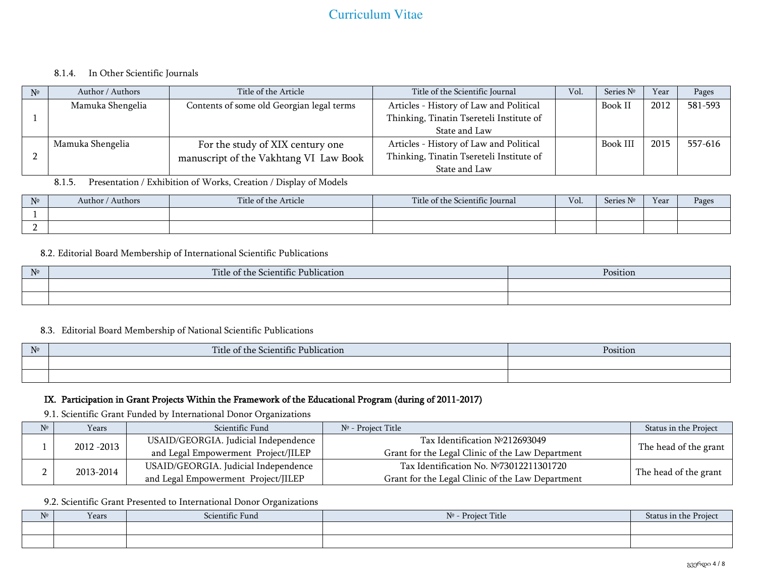#### 8.1.4. In Other Scientific Journals

| N <sup>2</sup> | Author / Authors | Title of the Article                      | Title of the Scientific Journal          | Vol. | Series Nº | Year | Pages   |
|----------------|------------------|-------------------------------------------|------------------------------------------|------|-----------|------|---------|
|                | Mamuka Shengelia | Contents of some old Georgian legal terms | Articles - History of Law and Political  |      | Book I    | 2012 | 581-593 |
|                |                  |                                           | Thinking, Tinatin Tsereteli Institute of |      |           |      |         |
|                |                  |                                           | State and Law                            |      |           |      |         |
|                | Mamuka Shengelia | For the study of XIX century one          | Articles - History of Law and Political  |      | Book III  | 2015 | 557-616 |
|                |                  | manuscript of the Vakhtang VI Law Book    | Thinking, Tinatin Tsereteli Institute of |      |           |      |         |
|                |                  |                                           | State and Law                            |      |           |      |         |

## 8.1.5. Presentation / Exhibition of Works, Creation / Display of Models

| N <sup>2</sup> | Authors<br>Author / | Title of the Article | Title of the Scientific Journal | Vol. | $\mathbf{R}$<br>Series | Year | Pages |
|----------------|---------------------|----------------------|---------------------------------|------|------------------------|------|-------|
|                |                     |                      |                                 |      |                        |      |       |
|                |                     |                      |                                 |      |                        |      |       |

#### 8.2. Editorial Board Membership of International Scientific Publications

| $N_0$<br>$\mathbf{I}$ | Title of the Scientific Publication<br>-- <i>- -</i> -------- | Position |
|-----------------------|---------------------------------------------------------------|----------|
|                       |                                                               |          |
|                       |                                                               |          |

#### 8.3. Editorial Board Membership of National Scientific Publications

| $\mathsf{N}^{\mathsf{D}}$ | Title of ti.<br>$\cdot$ $\sim$<br>e Scientific Publication :<br>he | Position |
|---------------------------|--------------------------------------------------------------------|----------|
|                           |                                                                    |          |
|                           |                                                                    |          |

## IX. Participation in Grant Projects Within the Framework of the Educational Program (during of 2011-2017)

9.1. Scientific Grant Funded by International Donor Organizations

| $N^{\circ}$ | Years       | Scientific Fund                      | Nº - Proiect Title                               | Status in the Project |
|-------------|-------------|--------------------------------------|--------------------------------------------------|-----------------------|
|             | 2012 - 2013 | USAID/GEORGIA. Judicial Independence | Tax Identification $N°212693049$                 |                       |
|             |             | and Legal Empowerment Project/JILEP  | Grant for the Legal Clinic of the Law Department | The head of the grant |
| n.          |             | USAID/GEORGIA. Judicial Independence | Tax Identification No. №73012211301720           |                       |
| ∸           | 2013-2014   | and Legal Empowerment Project/JILEP  | Grant for the Legal Clinic of the Law Department | The head of the grant |

#### 9.2. Scientific Grant Presented to International Donor Organizations

| N <sup>0</sup> | Years | Scientific Fund | Nº - Project Title | Status in the Project |
|----------------|-------|-----------------|--------------------|-----------------------|
|                |       |                 |                    |                       |
|                |       |                 |                    |                       |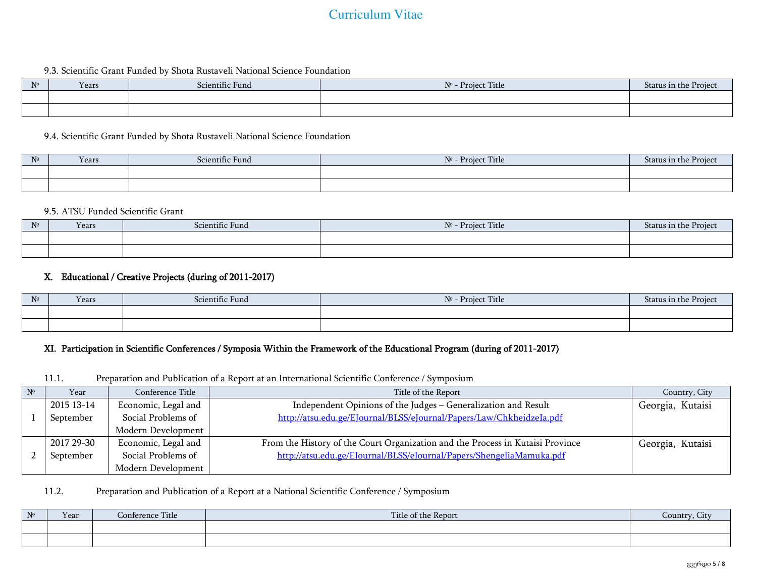#### 9.3. Scientific Grant Funded by Shota Rustaveli National Science Foundation

| $N^{\circ}$ | Years | Scientific Fund | Title<br>N <sub>2</sub><br>- Project | Status in<br>n. |
|-------------|-------|-----------------|--------------------------------------|-----------------|
|             |       |                 |                                      |                 |
|             |       |                 |                                      |                 |

#### 9.4. Scientific Grant Funded by Shota Rustaveli National Science Foundation

| $N^{\circ}$ | Years | Scientific Fund | Project Title<br>No |  |
|-------------|-------|-----------------|---------------------|--|
|             |       |                 |                     |  |
|             |       |                 |                     |  |

#### 9.5. ATSU Funded Scientific Grant

| N <sub>2</sub> | Years | Scientific Fund | Project Title<br>N <sub>2</sub> | Status in th<br>rojec<br>.ne |
|----------------|-------|-----------------|---------------------------------|------------------------------|
|                |       |                 |                                 |                              |
|                |       |                 |                                 |                              |

#### X. Educational / Creative Projects (during of 2011-2017)

| $N^{\circ}$ | Years | Scientific Fund | + Title<br>No<br>Project i | Status ir<br>ı the |
|-------------|-------|-----------------|----------------------------|--------------------|
|             |       |                 |                            |                    |
|             |       |                 |                            |                    |

#### XI. Participation in Scientific Conferences / Symposia Within the Framework of the Educational Program (during of 2011-2017)

#### 11.1. Preparation and Publication of a Report at an International Scientific Conference / Symposium

| $N^{\circ}$ | Year       | Conference Title    | Title of the Report                                                            | Country, City    |
|-------------|------------|---------------------|--------------------------------------------------------------------------------|------------------|
|             | 2015 13-14 | Economic, Legal and | Independent Opinions of the Judges - Generalization and Result                 | Georgia, Kutaisi |
|             | September  | Social Problems of  | http://atsu.edu.ge/EJournal/BLSS/eJournal/Papers/Law/ChkheidzeIa.pdf           |                  |
|             |            | Modern Development  |                                                                                |                  |
|             | 2017 29-30 | Economic, Legal and | From the History of the Court Organization and the Process in Kutaisi Province | Georgia, Kutaisi |
|             | September  | Social Problems of  | http://atsu.edu.ge/EJournal/BLSS/eJournal/Papers/ShengeliaMamuka.pdf           |                  |
|             |            | Modern Development  |                                                                                |                  |

#### 11.2. Preparation and Publication of a Report at a National Scientific Conference / Symposium

| $N^{\! \varrho}$ | Year | Title<br>:onterence | Title of the<br>e Report | $-222$ |
|------------------|------|---------------------|--------------------------|--------|
|                  |      |                     |                          |        |
|                  |      |                     |                          |        |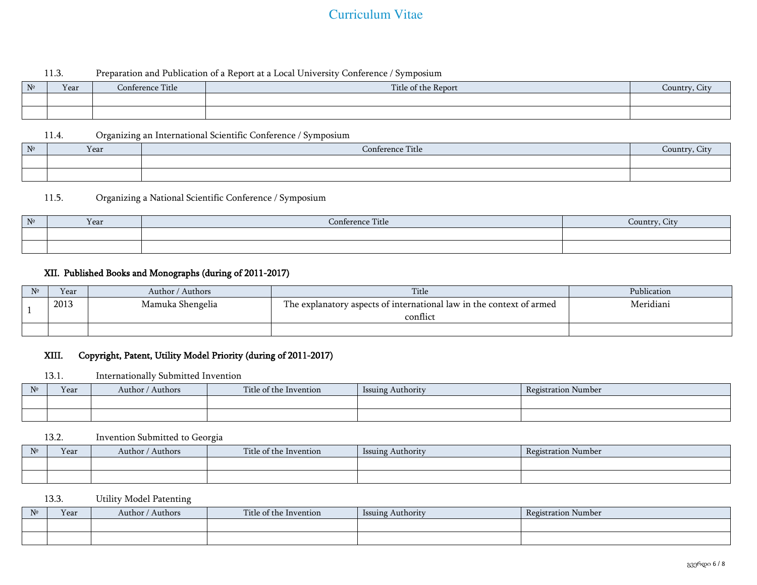### 11.3. Preparation and Publication of a Report at a Local University Conference / Symposium

| $\mathrm{N}^{\!\mathrm{o}}$ | Year | Title<br>Conference | Title of the Report | commendants.<br><b>T1997</b> |
|-----------------------------|------|---------------------|---------------------|------------------------------|
|                             |      |                     |                     |                              |
|                             |      |                     |                     |                              |

11.4. Organizing an International Scientific Conference / Symposium

| $N^{\circ}$ | Year | $-1$<br>Conference<br>l'itle | Journ |
|-------------|------|------------------------------|-------|
|             |      |                              |       |
|             |      |                              |       |

## 11.5. Organizing a National Scientific Conference / Symposium

| $N^{\circ}$ | Year | Conference Title | $\alpha$ <sub>11</sub> $\eta$ <sup>+<math>\eta</math></sup><br><b>THEFT</b><br>. |
|-------------|------|------------------|----------------------------------------------------------------------------------|
|             |      |                  |                                                                                  |
|             |      |                  |                                                                                  |

# XII. Published Books and Monographs (during of 2011-2017)

| Year | Author / Authors | Title                                                                            | Publication |
|------|------------------|----------------------------------------------------------------------------------|-------------|
| 2013 | Mamuka Shengelia | The explanatory aspects of international law in the context of armed<br>conflict | Meridiani   |
|      |                  |                                                                                  |             |

# XIII. Copyright, Patent, Utility Model Priority (during of 2011-2017)

## 13.1. Internationally Submitted Invention

| $N^{\circ}$ | Year | Authors<br>Author | Title of the Invention | Authority<br>1SSU <sub>1</sub> | Number<br>Registration |
|-------------|------|-------------------|------------------------|--------------------------------|------------------------|
|             |      |                   |                        |                                |                        |
|             |      |                   |                        |                                |                        |

## 13.2. Invention Submitted to Georgia

| N <sup>0</sup> | Year | ' Authors<br>Author / | $\sim$<br>Title of the Invention | Issuing Authority | Registration Number |
|----------------|------|-----------------------|----------------------------------|-------------------|---------------------|
|                |      |                       |                                  |                   |                     |
|                |      |                       |                                  |                   |                     |

## 13.3. Utility Model Patenting

| $N^{\circ}$ | Year | / Authors<br>Author / | Title of the Invention | Issuing Authority | $\overline{\phantom{a}}$<br>Registration Number |
|-------------|------|-----------------------|------------------------|-------------------|-------------------------------------------------|
|             |      |                       |                        |                   |                                                 |
|             |      |                       |                        |                   |                                                 |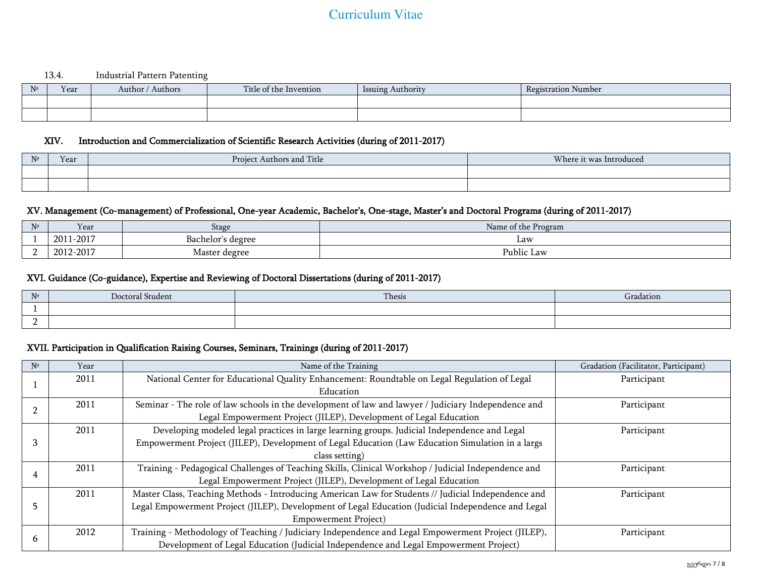#### 13.4. Industrial Pattern Patenting

| $N^{\circ}$ | Year | Authors<br>Author<br>$\sim$ $\sim$ $\sim$ | Title of the Invention | . Authority<br>Issuing | <b>Registration Number</b> |
|-------------|------|-------------------------------------------|------------------------|------------------------|----------------------------|
|             |      |                                           |                        |                        |                            |
|             |      |                                           |                        |                        |                            |

#### XIV. Introduction and Commercialization of Scientific Research Activities (during of 2011-2017)

| N <sub>o</sub> | Year | Authors and Title<br>Project | Where it was Introduced |
|----------------|------|------------------------------|-------------------------|
|                |      |                              |                         |
|                |      |                              |                         |

### XV. Management (Co-management) of Professional, One-year Academic, Bachelor's, One-stage, Master's and Doctoral Programs (during of 2011-2017)

| N <sub>2</sub> | Year      | Stage                         | Nam<br>ne of the Program             |
|----------------|-----------|-------------------------------|--------------------------------------|
|                | 2011-2017 | Bachelor'<br>s degree         | $\mathbf{L}aw$                       |
| -              | 2012-2017 | Master<br><sup>'</sup> degree | $\mathbf{r}$<br>. .<br>Public<br>Law |

### XVI. Guidance (Co-guidance), Expertise and Reviewing of Doctoral Dissertations (during of 2011-2017)

| $N^{\circ}$ | Doctoral Student | Thesis | radation |
|-------------|------------------|--------|----------|
|             |                  |        |          |
| $\sim$<br>- |                  |        |          |

### XVII. Participation in Qualification Raising Courses, Seminars, Trainings (during of 2011-2017)

| $N^{\circ}$ | Year | Name of the Training                                                                                | Gradation (Facilitator, Participant) |
|-------------|------|-----------------------------------------------------------------------------------------------------|--------------------------------------|
|             | 2011 | National Center for Educational Quality Enhancement: Roundtable on Legal Regulation of Legal        | Participant                          |
|             |      | Education                                                                                           |                                      |
|             | 2011 | Seminar - The role of law schools in the development of law and lawyer / Judiciary Independence and | Participant                          |
|             |      | Legal Empowerment Project (JILEP), Development of Legal Education                                   |                                      |
|             | 2011 | Developing modeled legal practices in large learning groups. Judicial Independence and Legal        | Participant                          |
|             |      | Empowerment Project (JILEP), Development of Legal Education (Law Education Simulation in a largs    |                                      |
|             |      | class setting)                                                                                      |                                      |
|             | 2011 | Training - Pedagogical Challenges of Teaching Skills, Clinical Workshop / Judicial Independence and | Participant                          |
|             |      | Legal Empowerment Project (JILEP), Development of Legal Education                                   |                                      |
|             | 2011 | Master Class, Teaching Methods - Introducing American Law for Students // Judicial Independence and | Participant                          |
|             |      | Legal Empowerment Project (JILEP), Development of Legal Education (Judicial Independence and Legal  |                                      |
|             |      | <b>Empowerment Project</b> )                                                                        |                                      |
|             | 2012 | Training - Methodology of Teaching / Judiciary Independence and Legal Empowerment Project (JILEP),  | Participant                          |
| n           |      | Development of Legal Education (Judicial Independence and Legal Empowerment Project)                |                                      |